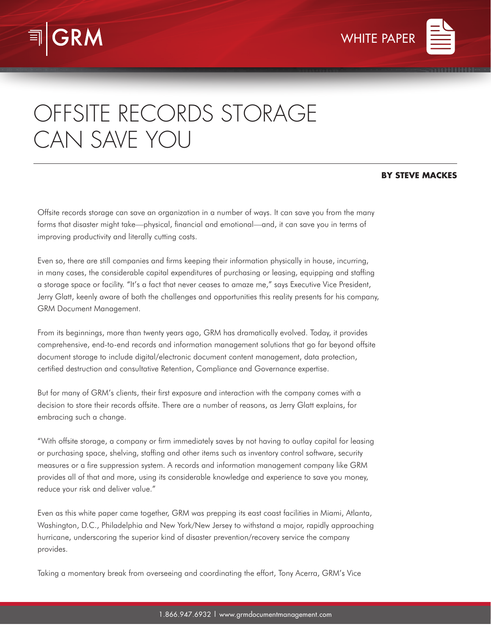



## OFFSITE RECORDS STORAGE CAN SAVE YOU

## **BY STEVE MACKES**

Offsite records storage can save an organization in a number of ways. It can save you from the many forms that disaster might take—physical, financial and emotional—and, it can save you in terms of improving productivity and literally cutting costs.

Even so, there are still companies and firms keeping their information physically in house, incurring, in many cases, the considerable capital expenditures of purchasing or leasing, equipping and staffing a storage space or facility. "It's a fact that never ceases to amaze me," says Executive Vice President, Jerry Glatt, keenly aware of both the challenges and opportunities this reality presents for his company, GRM Document Management.

From its beginnings, more than twenty years ago, GRM has dramatically evolved. Today, it provides comprehensive, end-to-end records and information management solutions that go far beyond offsite document storage to include digital/electronic document content management, data protection, certified destruction and consultative Retention, Compliance and Governance expertise.

But for many of GRM's clients, their first exposure and interaction with the company comes with a decision to store their records offsite. There are a number of reasons, as Jerry Glatt explains, for embracing such a change.

"With offsite storage, a company or firm immediately saves by not having to outlay capital for leasing or purchasing space, shelving, staffing and other items such as inventory control software, security measures or a fire suppression system. A records and information management company like GRM provides all of that and more, using its considerable knowledge and experience to save you money, reduce your risk and deliver value."

Even as this white paper came together, GRM was prepping its east coast facilities in Miami, Atlanta, Washington, D.C., Philadelphia and New York/New Jersey to withstand a major, rapidly approaching hurricane, underscoring the superior kind of disaster prevention/recovery service the company provides.

Taking a momentary break from overseeing and coordinating the effort, Tony Acerra, GRM's Vice